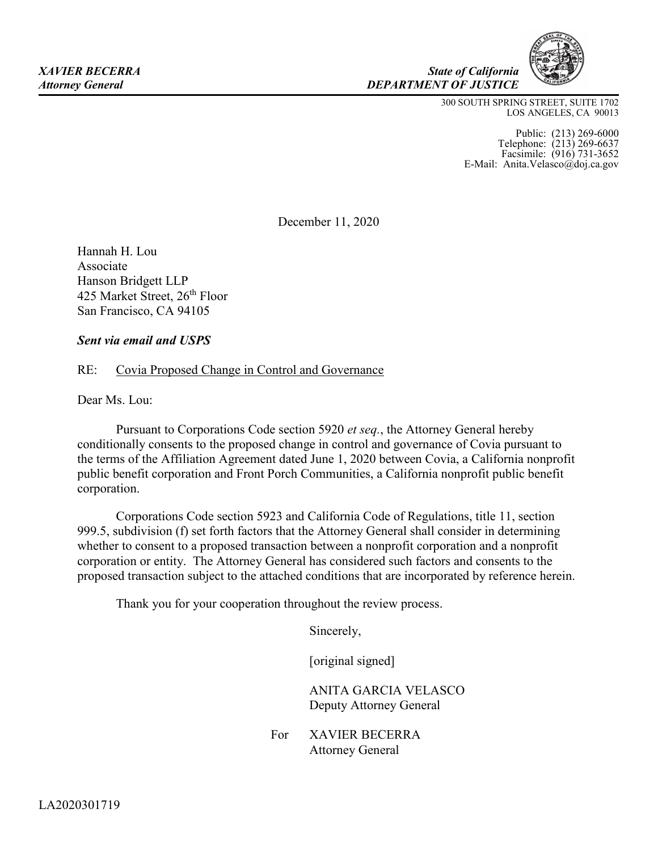300 SOUTH SPRING STREET, SUITE 1702 LOS ANGELES, CA 90013

 *State of California* 

*DEPARTMENT OF JUSTICE* 

 Telephone: (213) 269-6637 Public: (213) 269-6000 Facsimile: (916) 731-3652 E-Mail: Anita.Velasco@doj.ca.gov

December 11, 2020

Hannah H. Lou Associate Hanson Bridgett LLP 425 Market Street, 26<sup>th</sup> Floor San Francisco, CA 94105

# *Sent via email and USPS*

# RE: Covia Proposed Change in Control and Governance

Dear Ms. Lou:

 Pursuant to Corporations Code section 5920 *et seq.*, the Attorney General hereby conditionally consents to the proposed change in control and governance of Covia pursuant to the terms of the Affiliation Agreement dated June 1, 2020 between Covia, a California nonprofit public benefit corporation and Front Porch Communities, a California nonprofit public benefit corporation.

 999.5, subdivision (f) set forth factors that the Attorney General shall consider in determining proposed transaction subject to the attached conditions that are incorporated by reference herein. Corporations Code section 5923 and California Code of Regulations, title 11, section whether to consent to a proposed transaction between a nonprofit corporation and a nonprofit corporation or entity. The Attorney General has considered such factors and consents to the

Thank you for your cooperation throughout the review process.

Sincerely,

[original signed]

ANITA GARCIA VELASCO Deputy Attorney General

For XAVIER BECERRA Attorney General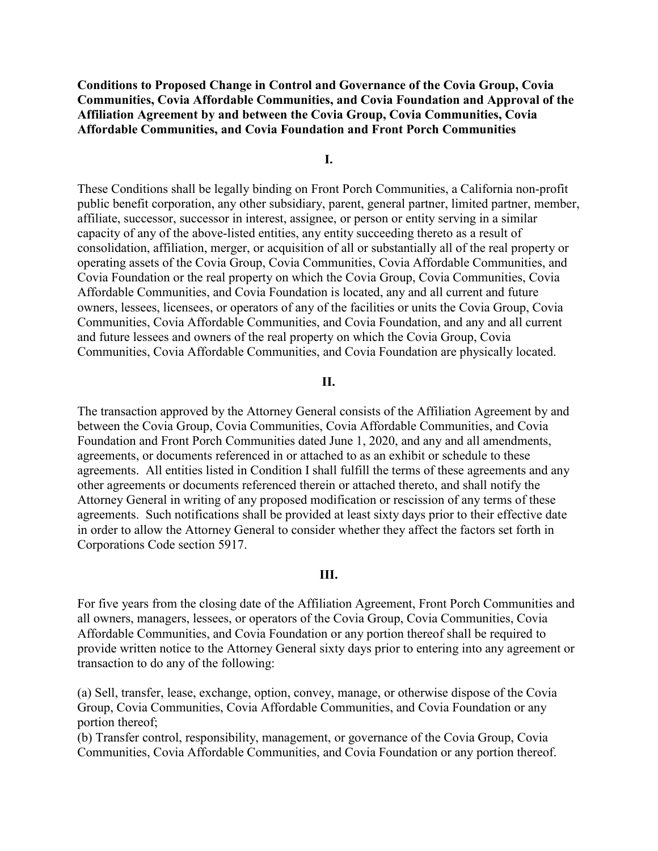**Conditions to Proposed Change in Control and Governance of the Covia Group, Covia Communities, Covia Affordable Communities, and Covia Foundation and Approval of the Affiliation Agreement by and between the Covia Group, Covia Communities, Covia Affordable Communities, and Covia Foundation and Front Porch Communities** 

### **I.**

 Covia Foundation or the real property on which the Covia Group, Covia Communities, Covia owners, lessees, licensees, or operators of any of the facilities or units the Covia Group, Covia Communities, Covia Affordable Communities, and Covia Foundation are physically located. These Conditions shall be legally binding on Front Porch Communities, a California non-profit public benefit corporation, any other subsidiary, parent, general partner, limited partner, member, affiliate, successor, successor in interest, assignee, or person or entity serving in a similar capacity of any of the above-listed entities, any entity succeeding thereto as a result of consolidation, affiliation, merger, or acquisition of all or substantially all of the real property or operating assets of the Covia Group, Covia Communities, Covia Affordable Communities, and Affordable Communities, and Covia Foundation is located, any and all current and future Communities, Covia Affordable Communities, and Covia Foundation, and any and all current and future lessees and owners of the real property on which the Covia Group, Covia

#### **II.**

 The transaction approved by the Attorney General consists of the Affiliation Agreement by and between the Covia Group, Covia Communities, Covia Affordable Communities, and Covia Foundation and Front Porch Communities dated June 1, 2020, and any and all amendments, agreements, or documents referenced in or attached to as an exhibit or schedule to these agreements. All entities listed in Condition I shall fulfill the terms of these agreements and any other agreements or documents referenced therein or attached thereto, and shall notify the Attorney General in writing of any proposed modification or rescission of any terms of these agreements. Such notifications shall be provided at least sixty days prior to their effective date in order to allow the Attorney General to consider whether they affect the factors set forth in Corporations Code section 5917.

#### **III.**

 For five years from the closing date of the Affiliation Agreement, Front Porch Communities and all owners, managers, lessees, or operators of the Covia Group, Covia Communities, Covia Affordable Communities, and Covia Foundation or any portion thereof shall be required to provide written notice to the Attorney General sixty days prior to entering into any agreement or transaction to do any of the following:

 (a) Sell, transfer, lease, exchange, option, convey, manage, or otherwise dispose of the Covia Group, Covia Communities, Covia Affordable Communities, and Covia Foundation or any portion thereof;

 Communities, Covia Affordable Communities, and Covia Foundation or any portion thereof. (b) Transfer control, responsibility, management, or governance of the Covia Group, Covia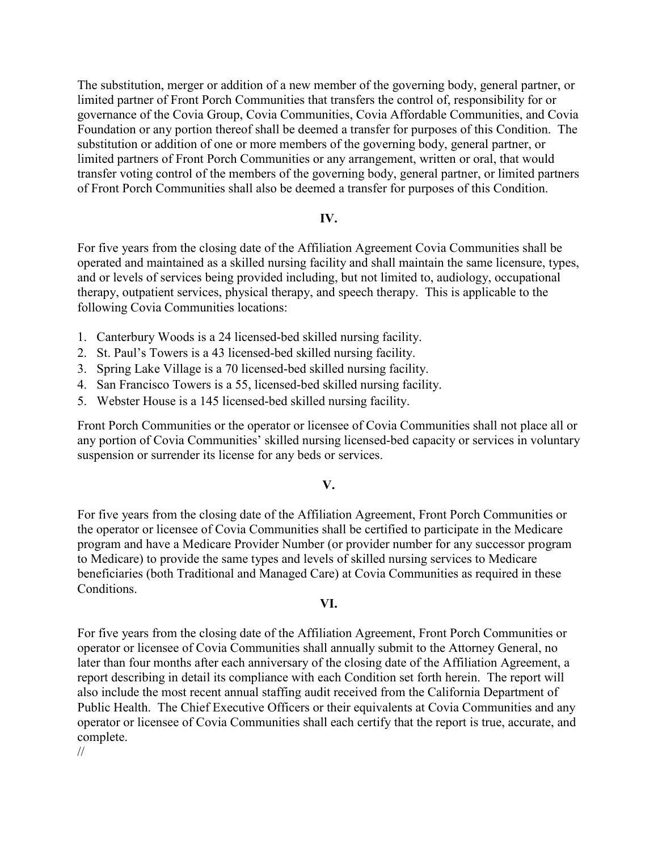governance of the Covia Group, Covia Communities, Covia Affordable Communities, and Covia The substitution, merger or addition of a new member of the governing body, general partner, or limited partner of Front Porch Communities that transfers the control of, responsibility for or Foundation or any portion thereof shall be deemed a transfer for purposes of this Condition. The substitution or addition of one or more members of the governing body, general partner, or limited partners of Front Porch Communities or any arrangement, written or oral, that would transfer voting control of the members of the governing body, general partner, or limited partners of Front Porch Communities shall also be deemed a transfer for purposes of this Condition.

## **IV.**

 For five years from the closing date of the Affiliation Agreement Covia Communities shall be operated and maintained as a skilled nursing facility and shall maintain the same licensure, types, therapy, outpatient services, physical therapy, and speech therapy. This is applicable to the and or levels of services being provided including, but not limited to, audiology, occupational following Covia Communities locations:

- 1. Canterbury Woods is a 24 licensed-bed skilled nursing facility.
- 2. St. Paul's Towers is a 43 licensed-bed skilled nursing facility.
- 3. Spring Lake Village is a 70 licensed-bed skilled nursing facility.
- 4. San Francisco Towers is a 55, licensed-bed skilled nursing facility.
- 5. Webster House is a 145 licensed-bed skilled nursing facility.

 suspension or surrender its license for any beds or services. Front Porch Communities or the operator or licensee of Covia Communities shall not place all or any portion of Covia Communities' skilled nursing licensed-bed capacity or services in voluntary

### **V.**

For five years from the closing date of the Affiliation Agreement, Front Porch Communities or the operator or licensee of Covia Communities shall be certified to participate in the Medicare program and have a Medicare Provider Number (or provider number for any successor program to Medicare) to provide the same types and levels of skilled nursing services to Medicare beneficiaries (both Traditional and Managed Care) at Covia Communities as required in these Conditions.

## **VI.**

 For five years from the closing date of the Affiliation Agreement, Front Porch Communities or operator or licensee of Covia Communities shall each certify that the report is true, accurate, and operator or licensee of Covia Communities shall annually submit to the Attorney General, no later than four months after each anniversary of the closing date of the Affiliation Agreement, a report describing in detail its compliance with each Condition set forth herein. The report will also include the most recent annual staffing audit received from the California Department of Public Health. The Chief Executive Officers or their equivalents at Covia Communities and any complete.

//